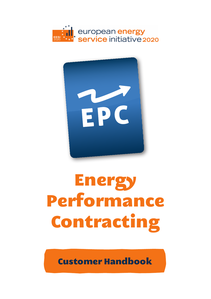



### Energy Performance Contracting

Customer Handbook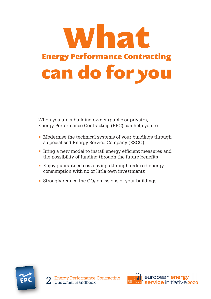

When you are a building owner (public or private), Energy Performance Contracting (EPC) can help you to

- Modernise the technical systems of your buildings through a specialised Energy Service Company (ESCO)
- Bring a new model to install energy efficient measures and the possibility of funding through the future benefits
- **Enjoy guaranteed cost savings through reduced energy** consumption with no or little own investments
- Strongly reduce the  $CO<sub>2</sub>$  emissions of your buildings



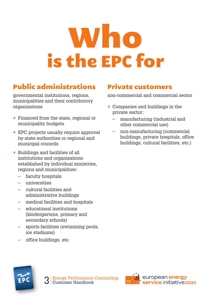### Who is the EPC for

#### Public administrations

governmental institutions, regions, municipalities and their contributory organizations

- Financed from the state, regional or municipality budgets
- EPC projects usually require approval by state authorities or regional and municipal councils
- Buildings and facilities of all institutions and organisations established by individual ministries, regions and municipalities:
	- faculty hospitals
	- universities
	- cultural facilities and administrative buildings
	- medical facilities and hospitals
	- educational institutions (kindergartens, primary and secondary schools)
	- sports facilities (swimming pools, ice stadiums)
	- office buildings, etc.

#### Private customers

non-commercial and commercial sector

- Companies and buildings in the private sector:
	- manufacturing (industrial and other commercial use)
	- non-manufacturing (commercial buildings, private hospitals, office buildings, cultural facilities, etc.)



3 Energy Performance Contracting<br>3 Customer Handbook

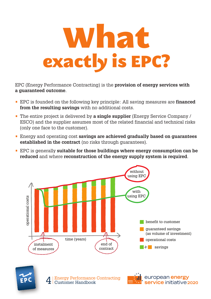

EPC (Energy Performance Contracting) is the **provision of energy services with a guaranteed outcome**.

- EPC is founded on the following key principle: All saving measures are **financed from the resulting savings** with no additional costs.
- The entire project is delivered by **a single supplier** (Energy Service Company / ESCO) and the supplier assumes most of the related financial and technical risks (only one face to the customer).
- Energy and operating cost **savings are achieved gradually based on guarantees established in the contract** (no risks through guarantees).
- EPC is generally **suitable for those buildings where energy consumption can be reduced** and where **reconstruction of the energy supply system is required**.

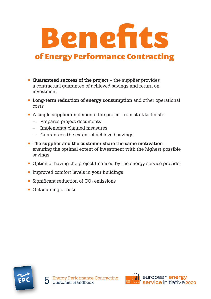

- **Guaranteed success of the project** the supplier provides a contractual guarantee of achieved savings and return on investment
- **Long-term reduction of energy consumption** and other operational costs
- A single supplier implements the project from start to finish:
	- Prepares project documents
	- Implements planned measures
	- Guarantees the extent of achieved savings
- **The supplier and the customer share the same motivation** ensuring the optimal extent of investment with the highest possible savings
- Option of having the project financed by the energy service provider
- Improved comfort levels in your buildings
- Significant reduction of  $CO<sub>2</sub>$  emissions
- Outsourcing of risks



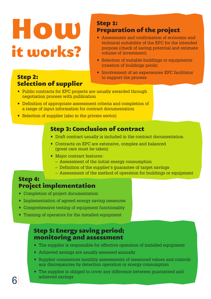### How it works?

#### Step 2: Selection of supplier

#### Step 1: Preparation of the project

- Assessment and confirmation of economic and technical suitability of the EPC for the intended purpose (check of saving potential and estimate volume of investment)
- Selection of suitable buildings or equipments (creation of buildings pools)
- Involvement of an experiences EPC facilitator to support the process
- Public contracts for EPC projects are usually awarded through negotiation process with publication
- Definition of appropriate assessment criteria and completion of a range of input information for contract documentation
- Selection of supplier (also in the private sector)

#### Step 3: Conclusion of contract

- Draft contract usually is included in the contract documentation
- Contracts on EPC are extensive, complex and balanced (great care must be taken)
- Major contract features:
	- Assessment of the initial energy consumption
	- Definition of the supplier's guarantee of target savings
	- Assessment of the method of operation for buildings or equipment

#### Step 4: Project implementation

- Completion of project documentation
- Implementation of agreed energy saving measures
- Comprehensive testing of equipment functionality
- Training of operators for the installed equipment

#### Step 5: Energy saving period; monitoring and assessment

- The supplier is responsible for effective operation of installed equipment
- Achieved savings are usually assessed annually
- Supplier commences monthly assessments of measured values and controls any discrepancies by detection operation or energy consumption
- The supplier is obliged to cover any difference between guaranteed and 6 achieved savings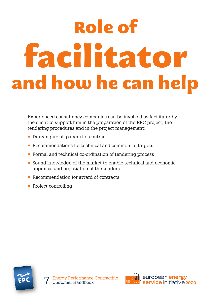### Role of facilitator and how he can help

Experienced consultancy companies can be involved as facilitator by the client to support him in the preparation of the EPC project, the tendering procedures and in the project management:

- Drawing up all papers for contract
- Recommendations for technical and commercial targets
- Formal and technical co-ordination of tendering process
- Sound knowledge of the market to enable technical and economic appraisal and negotiation of the tenders
- Recommendation for award of contracts
- Project controlling



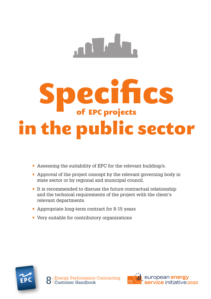

# Specifics of EPC projects in the public sector

- Assessing the suitability of EPC for the relevant building/s.
- Approval of the project concept by the relevant governing body in state sector or by regional and municipal council.
- It is recommended to discuss the future contractual relationship and the technical requirements of the project with the client's relevant departments.
- Appropriate long-term contract for 8-15 years
- Very suitable for contributory organizations



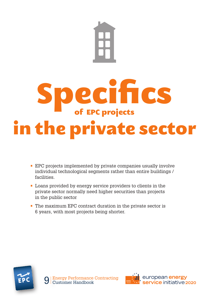

- EPC projects implemented by private companies usually involve individual technological segments rather than entire buildings / facilities.
- Loans provided by energy service providers to clients in the private sector normally need higher securities than projects in the public sector
- The maximum EPC contract duration in the private sector is 6 years, with most projects being shorter.



**Energy Performance Contracting<br>Customer Handbook** 

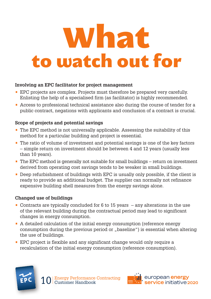### What to watch out for

#### **Involving an EPC facilitator for project management**

- EPC projects are complex. Projects must therefore be prepared very carefully. Enlisting the help of a specialised firm (as facilitator) is highly recommended.
- Access to professional technical assistance also during the course of tender for a public contract, negations with applicants and conclusion of a contract is crucial.

#### **Scope of projects and potential savings**

- The EPC method is not universally applicable. Assessing the suitability of this method for a particular building and project is essential.
- The ratio of volume of investment and potential savings is one of the key factors – simple return on investment should be between 4 and 12 years (usually less than 10 years).
- The EPC method is generally not suitable for small buildings return on investment derived from operating cost savings tends to be weaker in small buildings.
- Deep refurbishment of buildings with EPC is usually only possible, if the client is ready to provide an additional budget. The supplier can normally not refinance expensive building shell measures from the energy savings alone.

#### **Changed use of buildings**

- Contracts are typically concluded for 6 to 15 years  $-$  any alterations in the use of the relevant building during the contractual period may lead to significant changes in energy consumption.
- A detailed calculation of the initial energy consumption (reference energy consumption during the previous period or "baseline") is essential when altering the use of buildings.
- EPC project is flexible and any significant change would only require a recalculation of the initial energy consumption (reference consumption).



10 Energy Performance Contracting<br>Customer Handbook

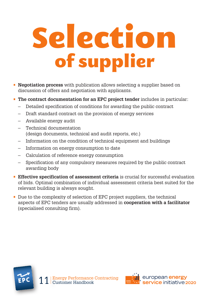## Selection of supplier

- **Negotiation process** with publication allows selecting a supplier based on discussion of offers and negotiation with applicants.
- **The contract documentation for an EPC project tender** includes in particular:
	- Detailed specification of conditions for awarding the public contract
	- Draft standard contract on the provision of energy services
	- Available energy audit
	- Technical documentation (design documents, technical and audit reports, etc.)
	- Information on the condition of technical equipment and buildings
	- Information on energy consumption to date
	- Calculation of reference energy consumption
	- Specification of any compulsory measures required by the public contract awarding body
- **Effective specification of assessment criteria** is crucial for successful evaluation of bids. Optimal combination of individual assessment criteria best suited for the relevant building is always sought.
- Due to the complexity of selection of EPC project suppliers, the technical aspects of EPC tenders are usually addressed in **cooperation with a facilitator** (specialised consulting firm).



1 Energy Performance Contracting